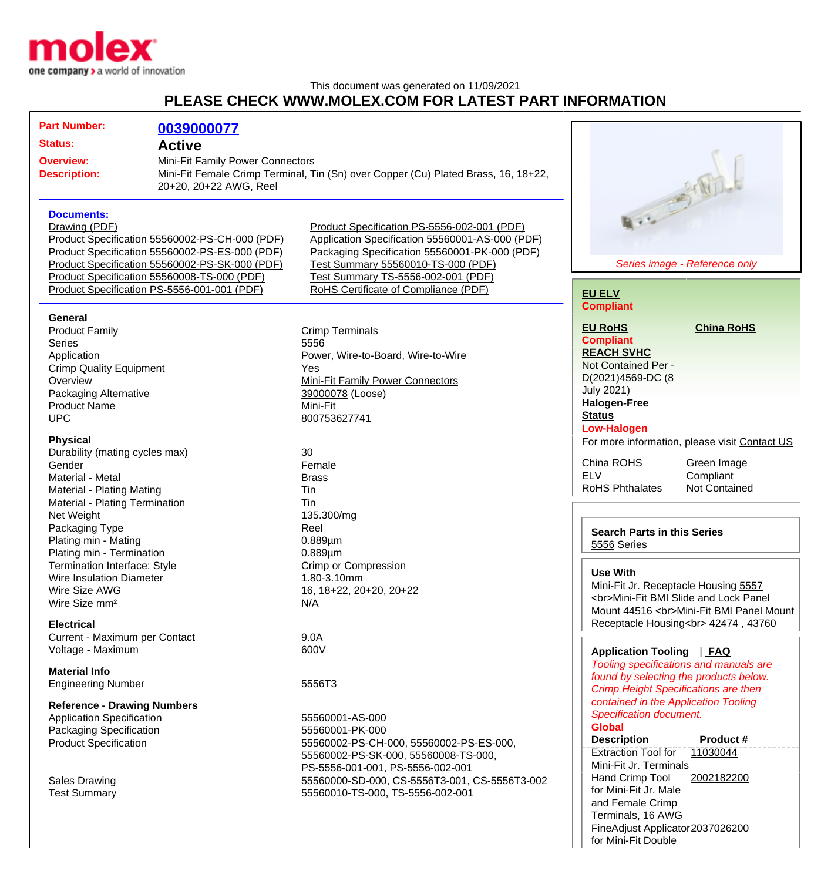

This document was generated on 11/09/2021

## **PLEASE CHECK WWW.MOLEX.COM FOR LATEST PART INFORMATION**

| <b>Part Number:</b><br>0039000077                                                                                                                                                                                                                                                      |                                                                                                                                                                                                                                                                     |                                                                                                                                                                                   |
|----------------------------------------------------------------------------------------------------------------------------------------------------------------------------------------------------------------------------------------------------------------------------------------|---------------------------------------------------------------------------------------------------------------------------------------------------------------------------------------------------------------------------------------------------------------------|-----------------------------------------------------------------------------------------------------------------------------------------------------------------------------------|
| <b>Status:</b><br><b>Active</b>                                                                                                                                                                                                                                                        |                                                                                                                                                                                                                                                                     |                                                                                                                                                                                   |
| <b>Overview:</b><br><b>Description:</b><br>20+20, 20+22 AWG, Reel                                                                                                                                                                                                                      | Mini-Fit Family Power Connectors<br>Mini-Fit Female Crimp Terminal, Tin (Sn) over Copper (Cu) Plated Brass, 16, 18+22,                                                                                                                                              |                                                                                                                                                                                   |
| <b>Documents:</b><br>Drawing (PDF)<br>Product Specification 55560002-PS-CH-000 (PDF)<br>Product Specification 55560002-PS-ES-000 (PDF)<br>Product Specification 55560002-PS-SK-000 (PDF)<br>Product Specification 55560008-TS-000 (PDF)<br>Product Specification PS-5556-001-001 (PDF) | Product Specification PS-5556-002-001 (PDF)<br>Application Specification 55560001-AS-000 (PDF)<br>Packaging Specification 55560001-PK-000 (PDF)<br>Test Summary 55560010-TS-000 (PDF)<br>Test Summary TS-5556-002-001 (PDF)<br>RoHS Certificate of Compliance (PDF) | 9.3 - 2 Wh.<br>Series image - Reference only                                                                                                                                      |
|                                                                                                                                                                                                                                                                                        |                                                                                                                                                                                                                                                                     | <b>EU ELV</b>                                                                                                                                                                     |
| <b>General</b>                                                                                                                                                                                                                                                                         |                                                                                                                                                                                                                                                                     | <b>Compliant</b>                                                                                                                                                                  |
| <b>Product Family</b><br><b>Series</b><br>Application<br><b>Crimp Quality Equipment</b><br>Overview<br>Packaging Alternative                                                                                                                                                           | <b>Crimp Terminals</b><br>5556<br>Power, Wire-to-Board, Wire-to-Wire<br>Yes<br>Mini-Fit Family Power Connectors<br>39000078 (Loose)                                                                                                                                 | <b>EU RoHS</b><br><b>China RoHS</b><br><b>Compliant</b><br><b>REACH SVHC</b><br>Not Contained Per -<br>D(2021)4569-DC (8<br><b>July 2021)</b><br><b>Halogen-Free</b>              |
| <b>Product Name</b><br><b>UPC</b>                                                                                                                                                                                                                                                      | Mini-Fit<br>800753627741                                                                                                                                                                                                                                            | <b>Status</b>                                                                                                                                                                     |
| <b>Physical</b><br>Durability (mating cycles max)<br>Gender<br>Material - Metal<br>Material - Plating Mating                                                                                                                                                                           | 30<br>Female<br><b>Brass</b><br>Tin                                                                                                                                                                                                                                 | <b>Low-Halogen</b><br>For more information, please visit Contact US<br>China ROHS<br>Green Image<br><b>ELV</b><br>Compliant<br><b>RoHS Phthalates</b><br>Not Contained            |
| Material - Plating Termination                                                                                                                                                                                                                                                         | Tin                                                                                                                                                                                                                                                                 |                                                                                                                                                                                   |
| Net Weight<br>Packaging Type<br>Plating min - Mating<br>Plating min - Termination                                                                                                                                                                                                      | 135.300/mg<br>Reel<br>$0.889 \mu m$<br>$0.889 \mu m$                                                                                                                                                                                                                | <b>Search Parts in this Series</b><br>5556 Series                                                                                                                                 |
| Termination Interface: Style<br>Wire Insulation Diameter<br>Wire Size AWG<br>Wire Size mm <sup>2</sup><br><b>Electrical</b>                                                                                                                                                            | Crimp or Compression<br>1.80-3.10mm<br>16, 18+22, 20+20, 20+22<br>N/A                                                                                                                                                                                               | <b>Use With</b><br>Mini-Fit Jr. Receptacle Housing 5557<br><br>Mini-Fit BMI Slide and Lock Panel<br>Mount 44516<br>Mini-Fit BMI Panel Mount<br>Receptacle Housing<br>42474, 43760 |
| Current - Maximum per Contact                                                                                                                                                                                                                                                          | 9.0A                                                                                                                                                                                                                                                                |                                                                                                                                                                                   |
| Voltage - Maximum                                                                                                                                                                                                                                                                      | 600V                                                                                                                                                                                                                                                                | Application Tooling   FAQ                                                                                                                                                         |
| <b>Material Info</b>                                                                                                                                                                                                                                                                   |                                                                                                                                                                                                                                                                     | Tooling specifications and manuals are<br>found by selecting the products below.                                                                                                  |
| <b>Engineering Number</b>                                                                                                                                                                                                                                                              | 5556T3                                                                                                                                                                                                                                                              | <b>Crimp Height Specifications are then</b>                                                                                                                                       |
| <b>Reference - Drawing Numbers</b>                                                                                                                                                                                                                                                     |                                                                                                                                                                                                                                                                     | contained in the Application Tooling                                                                                                                                              |
| <b>Application Specification</b>                                                                                                                                                                                                                                                       | 55560001-AS-000                                                                                                                                                                                                                                                     | <b>Specification document.</b>                                                                                                                                                    |
| Packaging Specification                                                                                                                                                                                                                                                                | 55560001-PK-000                                                                                                                                                                                                                                                     | <b>Global</b>                                                                                                                                                                     |
| <b>Product Specification</b>                                                                                                                                                                                                                                                           | 55560002-PS-CH-000, 55560002-PS-ES-000,<br>55560002-PS-SK-000, 55560008-TS-000,<br>PS-5556-001-001, PS-5556-002-001                                                                                                                                                 | <b>Description</b><br>Product #<br><b>Extraction Tool for</b><br>11030044<br>Mini-Fit Jr. Terminals                                                                               |
| Sales Drawing                                                                                                                                                                                                                                                                          | 55560000-SD-000, CS-5556T3-001, CS-5556T3-002                                                                                                                                                                                                                       | Hand Crimp Tool<br>2002182200                                                                                                                                                     |
| <b>Test Summary</b>                                                                                                                                                                                                                                                                    | 55560010-TS-000, TS-5556-002-001                                                                                                                                                                                                                                    | for Mini-Fit Jr. Male<br>and Female Crimp<br>Terminals, 16 AWG<br>FineAdjust Applicator2037026200                                                                                 |

for Mini-Fit Double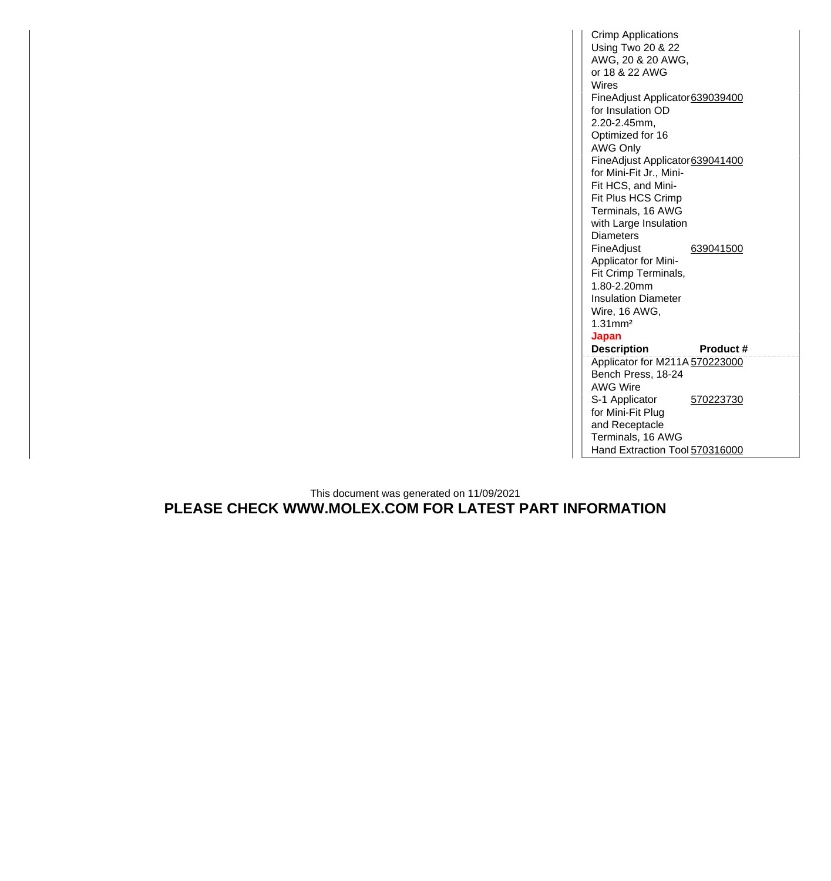Crimp Applications Using Two 20 & 22 AWG, 20 & 20 AWG, or 18 & 22 AWG Wires FineAdjust Applicator [639039400](http://www.molex.com/molex/products/datasheet.jsp?part=active/0639039400_APPLICATION_TOOLIN.xml) for Insulation OD 2.20-2.45mm, Optimized for 16 AWG Only FineAdjust Applicator [639041400](http://www.molex.com/molex/products/datasheet.jsp?part=active/0639041400_APPLICATION_TOOLIN.xml) for Mini-Fit Jr., Mini-Fit HCS, and Mini-Fit Plus HCS Crimp Terminals, 16 AWG with Large Insulation **Diameters** FineAdjust Applicator for Mini-Fit Crimp Terminals, 1.80-2.20mm Insulation Diameter Wire, 16 AWG, 1.31mm² [639041500](http://www.molex.com/molex/products/datasheet.jsp?part=active/0639041500_APPLICATION_TOOLIN.xml) **Japan Description Product #** Applicator for M211A [570223000](http://www.molex.com/molex/products/datasheet.jsp?part=active/0570223000_APPLICATION_TOOLIN.xml) Bench Press, 18-24 AWG Wire S-1 Applicator for Mini-Fit Plug and Receptacle Terminals, 16 AWG [570223730](http://www.molex.com/molex/products/datasheet.jsp?part=active/0570223730_APPLICATION_TOOLIN.xml) Hand Extraction Tool [570316000](http://www.molex.com/molex/products/datasheet.jsp?part=active/0570316000_APPLICATION_TOOLIN.xml)

This document was generated on 11/09/2021 **PLEASE CHECK WWW.MOLEX.COM FOR LATEST PART INFORMATION**